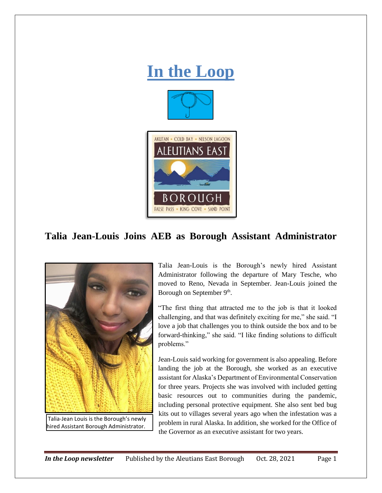

# **Talia Jean-Louis Joins AEB as Borough Assistant Administrator**



Talia Jean-Louis is the Borough's newly hired Assistant Administrator following the departure of Mary Tesche, who moved to Reno, Nevada in September. Jean-Louis joined the Borough on September 9<sup>th</sup>.

"The first thing that attracted me to the job is that it looked challenging, and that was definitely exciting for me," she said. "I love a job that challenges you to think outside the box and to be forward-thinking," she said. "I like finding solutions to difficult problems."

Jean-Louis said working for government is also appealing. Before landing the job at the Borough, she worked as an executive assistant for Alaska's Department of Environmental Conservation for three years. Projects she was involved with included getting basic resources out to communities during the pandemic, including personal protective equipment. She also sent bed bug kits out to villages several years ago when the infestation was a problem in rural Alaska. In addition, she worked for the Office of the Governor as an executive assistant for two years.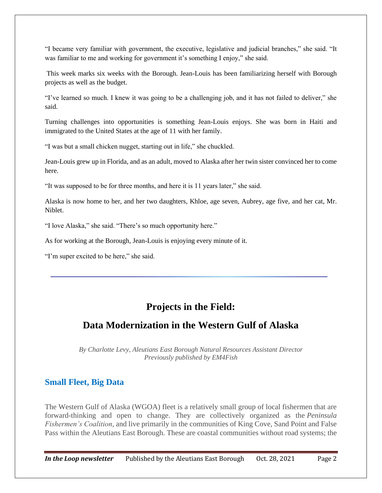"I became very familiar with government, the executive, legislative and judicial branches," she said. "It was familiar to me and working for government it's something I enjoy," she said.

This week marks six weeks with the Borough. Jean-Louis has been familiarizing herself with Borough projects as well as the budget.

"I've learned so much. I knew it was going to be a challenging job, and it has not failed to deliver," she said.

Turning challenges into opportunities is something Jean-Louis enjoys. She was born in Haiti and immigrated to the United States at the age of 11 with her family.

"I was but a small chicken nugget, starting out in life," she chuckled.

Jean-Louis grew up in Florida, and as an adult, moved to Alaska after her twin sister convinced her to come here.

"It was supposed to be for three months, and here it is 11 years later," she said.

Alaska is now home to her, and her two daughters, Khloe, age seven, Aubrey, age five, and her cat, Mr. Niblet.

"I love Alaska," she said. "There's so much opportunity here."

As for working at the Borough, Jean-Louis is enjoying every minute of it.

"I'm super excited to be here," she said.

# **Projects in the Field:**

# **Data Modernization in the Western Gulf of Alaska**

*By Charlotte Levy, Aleutians East Borough Natural Resources Assistant Director Previously published by EM4Fish*

#### **Small Fleet, Big Data**

The Western Gulf of Alaska (WGOA) fleet is a relatively small group of local fishermen that are forward-thinking and open to change. They are collectively organized as the *Peninsula Fishermen's Coalition*, and live primarily in the communities of King Cove, Sand Point and False Pass within the Aleutians East Borough. These are coastal communities without road systems; the

*In the Loop newsletter* Published by the Aleutians East Borough Oct. 28, 2021 Page 2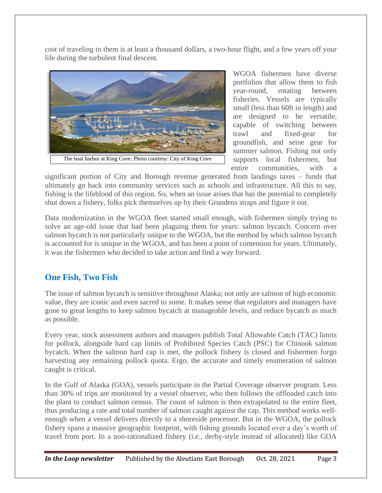cost of traveling to them is at least a thousand dollars, a two-hour flight, and a few years off your life during the turbulent final descent.



WGOA fishermen have diverse portfolios that allow them to fish year-round, rotating between fisheries. Vessels are typically small (less than 60ft in length) and are designed to be versatile, capable of switching between trawl and fixed-gear for groundfish, and seine gear for summer salmon. Fishing not only supports local fishermen, but entire communities, with a

The boat harbor at King Cove. Photo courtesy: City of King Cove

significant portion of City and Borough revenue generated from landings taxes – funds that ultimately go back into community services such as schools and infrastructure. All this to say, fishing is the lifeblood of this region. So, when an issue arises that has the potential to completely shut down a fishery, folks pick themselves up by their Grundens straps and figure it out.

Data modernization in the WGOA fleet started small enough, with fishermen simply trying to solve an age-old issue that had been plaguing them for years: salmon bycatch. Concern over salmon bycatch is not particularly unique to the WGOA, but the method by which salmon bycatch is accounted for is unique in the WGOA, and has been a point of contention for years. Ultimately, it was the fishermen who decided to take action and find a way forward.

### **One Fish, Two Fish**

The issue of salmon bycatch is sensitive throughout Alaska; not only are salmon of high economic value, they are iconic and even sacred to some. It makes sense that regulators and managers have gone to great lengths to keep salmon bycatch at manageable levels, and reduce bycatch as much as possible.

Every year, stock assessment authors and managers publish Total Allowable Catch (TAC) limits for pollock, alongside hard cap limits of Prohibited Species Catch (PSC) for Chinook salmon bycatch. When the salmon hard cap is met, the pollock fishery is closed and fishermen forgo harvesting any remaining pollock quota. Ergo, the accurate and timely enumeration of salmon caught is critical.

In the Gulf of Alaska (GOA), vessels participate in the Partial Coverage observer program. Less than 30% of trips are monitored by a vessel observer, who then follows the offloaded catch into the plant to conduct salmon census. The count of salmon is then extrapolated to the entire fleet, thus producing a rate and total number of salmon caught against the cap. This method works wellenough when a vessel delivers directly to a shoreside processor. But in the WGOA, the pollock fishery spans a massive geographic footprint, with fishing grounds located over a day's worth of travel from port. In a non-rationalized fishery (i.e., derby-style instead of allocated) like GOA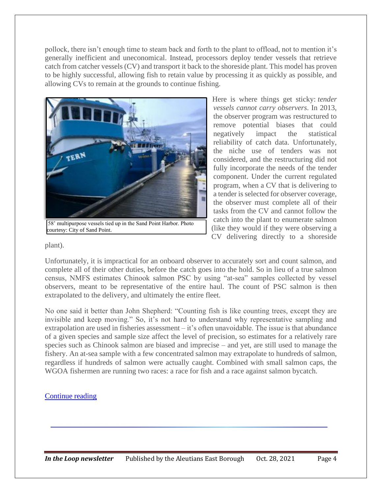pollock, there isn't enough time to steam back and forth to the plant to offload, not to mention it's generally inefficient and uneconomical. Instead, processors deploy tender vessels that retrieve catch from catcher vessels (CV) and transport it back to the shoreside plant. This model has proven to be highly successful, allowing fish to retain value by processing it as quickly as possible, and allowing CVs to remain at the grounds to continue fishing.



Here is where things get sticky: *tender vessels cannot carry observers*. In 2013, the observer program was restructured to remove potential biases that could negatively impact the statistical reliability of catch data. Unfortunately, the niche use of tenders was not considered, and the restructuring did not fully incorporate the needs of the tender component. Under the current regulated program, when a CV that is delivering to a tender is selected for observer coverage, the observer must complete all of their tasks from the CV and cannot follow the catch into the plant to enumerate salmon (like they would if they were observing a CV delivering directly to a shoreside

#### plant).

Unfortunately, it is impractical for an onboard observer to accurately sort and count salmon, and complete all of their other duties, before the catch goes into the hold. So in lieu of a true salmon census, NMFS estimates Chinook salmon PSC by using "at-sea" samples collected by vessel observers, meant to be representative of the entire haul. The count of PSC salmon is then extrapolated to the delivery, and ultimately the entire fleet.

No one said it better than John Shepherd: "Counting fish is like counting trees, except they are invisible and keep moving." So, it's not hard to understand why representative sampling and extrapolation are used in fisheries assessment – it's often unavoidable. The issue is that abundance of a given species and sample size affect the level of precision, so estimates for a relatively rare species such as Chinook salmon are biased and imprecise – and yet, are still used to manage the fishery. An at-sea sample with a few concentrated salmon may extrapolate to hundreds of salmon, regardless if hundreds of salmon were actually caught. Combined with small salmon caps, the WGOA fishermen are running two races: a race for fish and a race against salmon bycatch.

#### [Continue reading](https://em4.fish/projects-in-the-field-data-modernization-in-the-western-gulf-of-alaska/)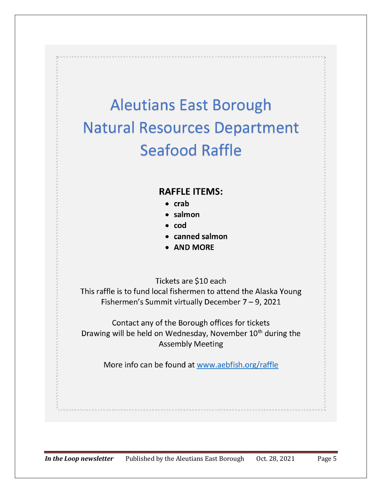# **Aleutians East Borough Natural Resources Department Seafood Raffle**

## **RAFFLE ITEMS:**

- $\bullet$  crab
- salmon
- cod
- canned salmon
- **AND MORE**

Tickets are \$10 each

This raffle is to fund local fishermen to attend the Alaska Young Fishermen's Summit virtually December  $7 - 9$ , 2021

Contact any of the Borough offices for tickets Drawing will be held on Wednesday, November 10<sup>th</sup> during the **Assembly Meeting** 

More info can be found at www.aebfish.org/raffle